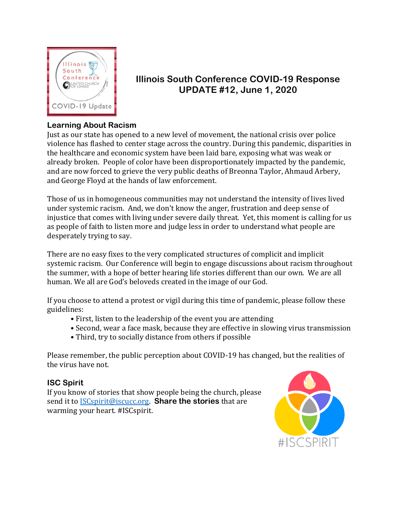

# **Illinois South Conference COVID-19 Response UPDATE #12, June 1, 2020**

## **Learning About Racism**

Just as our state has opened to a new level of movement, the national crisis over police violence has flashed to center stage across the country. During this pandemic, disparities in the healthcare and economic system have been laid bare, exposing what was weak or already broken. People of color have been disproportionately impacted by the pandemic, and are now forced to grieve the very public deaths of Breonna Taylor, Ahmaud Arbery, and George Floyd at the hands of law enforcement.

Those of us in homogeneous communities may not understand the intensity of lives lived under systemic racism. And, we don't know the anger, frustration and deep sense of injustice that comes with living under severe daily threat. Yet, this moment is calling for us as people of faith to listen more and judge less in order to understand what people are desperately trying to say.

There are no easy fixes to the very complicated structures of complicit and implicit systemic racism. Our Conference will begin to engage discussions about racism throughout the summer, with a hope of better hearing life stories different than our own. We are all human. We all are God's beloveds created in the image of our God.

If you choose to attend a protest or vigil during this time of pandemic, please follow these guidelines:

- First, listen to the leadership of the event you are attending
- Second, wear a face mask, because they are effective in slowing virus transmission
- Third, try to socially distance from others if possible

Please remember, the public perception about COVID-19 has changed, but the realities of the virus have not.

## **ISC Spirit**

If you know of stories that show people being the church, please send it to [ISCspirit@iscucc.org.](mailto:ISCspirit@iscucc.org) **Share the stories** that are warming your heart. #ISCspirit.